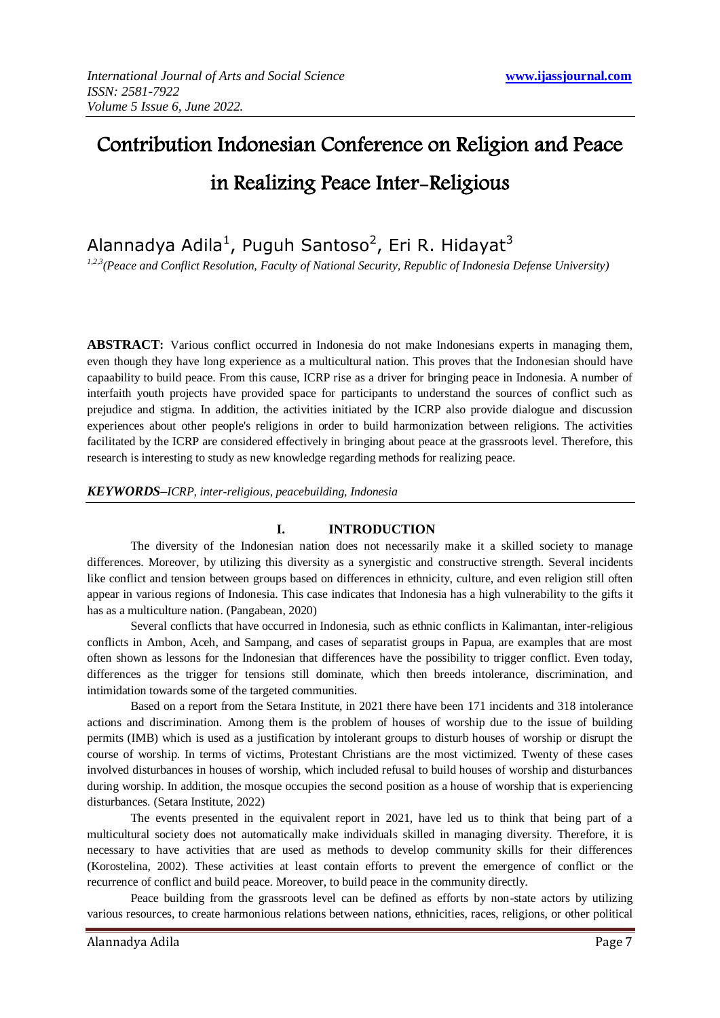# Contribution Indonesian Conference on Religion and Peace in Realizing Peace Inter-Religious

# Alannadya Adila<sup>1</sup>, Puguh Santoso<sup>2</sup>, Eri R. Hidayat<sup>3</sup>

*1,2,3(Peace and Conflict Resolution, Faculty of National Security, Republic of Indonesia Defense University)*

**ABSTRACT:** Various conflict occurred in Indonesia do not make Indonesians experts in managing them, even though they have long experience as a multicultural nation. This proves that the Indonesian should have capaability to build peace. From this cause, ICRP rise as a driver for bringing peace in Indonesia. A number of interfaith youth projects have provided space for participants to understand the sources of conflict such as prejudice and stigma. In addition, the activities initiated by the ICRP also provide dialogue and discussion experiences about other people's religions in order to build harmonization between religions. The activities facilitated by the ICRP are considered effectively in bringing about peace at the grassroots level. Therefore, this research is interesting to study as new knowledge regarding methods for realizing peace.

### *KEYWORDS–ICRP, inter-religious, peacebuilding, Indonesia*

## **I. INTRODUCTION**

The diversity of the Indonesian nation does not necessarily make it a skilled society to manage differences. Moreover, by utilizing this diversity as a synergistic and constructive strength. Several incidents like conflict and tension between groups based on differences in ethnicity, culture, and even religion still often appear in various regions of Indonesia. This case indicates that Indonesia has a high vulnerability to the gifts it has as a multiculture nation. (Pangabean, 2020)

Several conflicts that have occurred in Indonesia, such as ethnic conflicts in Kalimantan, inter-religious conflicts in Ambon, Aceh, and Sampang, and cases of separatist groups in Papua, are examples that are most often shown as lessons for the Indonesian that differences have the possibility to trigger conflict. Even today, differences as the trigger for tensions still dominate, which then breeds intolerance, discrimination, and intimidation towards some of the targeted communities.

Based on a report from the Setara Institute, in 2021 there have been 171 incidents and 318 intolerance actions and discrimination. Among them is the problem of houses of worship due to the issue of building permits (IMB) which is used as a justification by intolerant groups to disturb houses of worship or disrupt the course of worship. In terms of victims, Protestant Christians are the most victimized. Twenty of these cases involved disturbances in houses of worship, which included refusal to build houses of worship and disturbances during worship. In addition, the mosque occupies the second position as a house of worship that is experiencing disturbances. (Setara Institute, 2022)

The events presented in the equivalent report in 2021, have led us to think that being part of a multicultural society does not automatically make individuals skilled in managing diversity. Therefore, it is necessary to have activities that are used as methods to develop community skills for their differences (Korostelina, 2002). These activities at least contain efforts to prevent the emergence of conflict or the recurrence of conflict and build peace. Moreover, to build peace in the community directly.

Peace building from the grassroots level can be defined as efforts by non-state actors by utilizing various resources, to create harmonious relations between nations, ethnicities, races, religions, or other political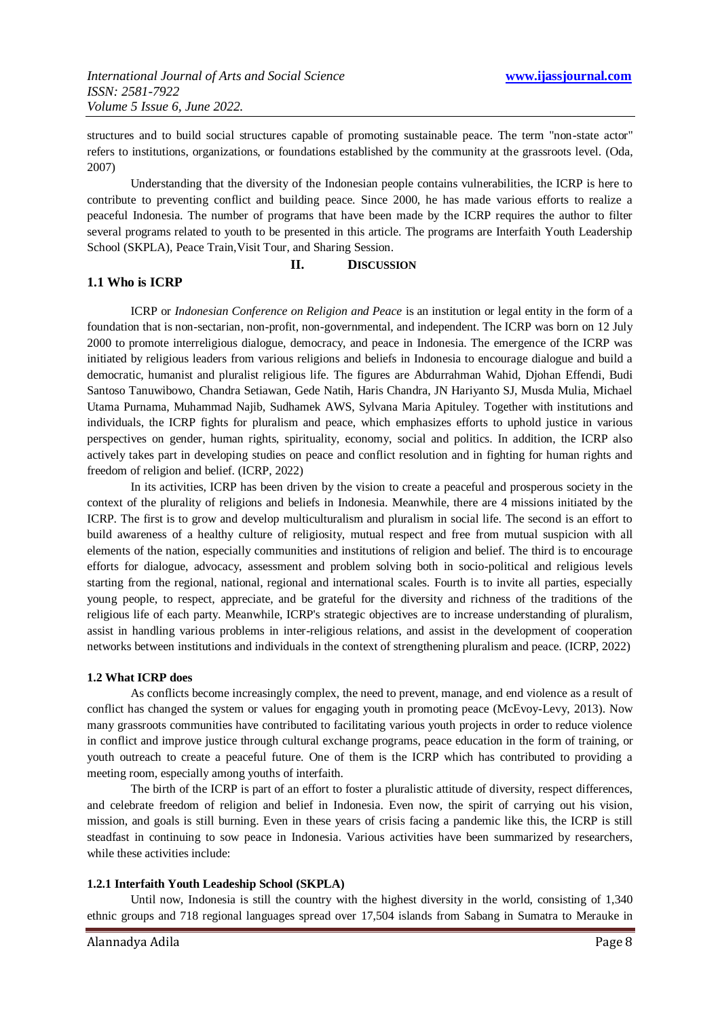structures and to build social structures capable of promoting sustainable peace. The term "non-state actor" refers to institutions, organizations, or foundations established by the community at the grassroots level. (Oda, 2007)

Understanding that the diversity of the Indonesian people contains vulnerabilities, the ICRP is here to contribute to preventing conflict and building peace. Since 2000, he has made various efforts to realize a peaceful Indonesia. The number of programs that have been made by the ICRP requires the author to filter several programs related to youth to be presented in this article. The programs are Interfaith Youth Leadership School (SKPLA), Peace Train,Visit Tour, and Sharing Session.

**II. DISCUSSION**

### **1.1 Who is ICRP**

ICRP or *Indonesian Conference on Religion and Peace* is an institution or legal entity in the form of a foundation that is non-sectarian, non-profit, non-governmental, and independent. The ICRP was born on 12 July 2000 to promote interreligious dialogue, democracy, and peace in Indonesia. The emergence of the ICRP was initiated by religious leaders from various religions and beliefs in Indonesia to encourage dialogue and build a democratic, humanist and pluralist religious life. The figures are Abdurrahman Wahid, Djohan Effendi, Budi Santoso Tanuwibowo, Chandra Setiawan, Gede Natih, Haris Chandra, JN Hariyanto SJ, Musda Mulia, Michael Utama Purnama, Muhammad Najib, Sudhamek AWS, Sylvana Maria Apituley. Together with institutions and individuals, the ICRP fights for pluralism and peace, which emphasizes efforts to uphold justice in various perspectives on gender, human rights, spirituality, economy, social and politics. In addition, the ICRP also actively takes part in developing studies on peace and conflict resolution and in fighting for human rights and freedom of religion and belief. (ICRP, 2022)

In its activities, ICRP has been driven by the vision to create a peaceful and prosperous society in the context of the plurality of religions and beliefs in Indonesia. Meanwhile, there are 4 missions initiated by the ICRP. The first is to grow and develop multiculturalism and pluralism in social life. The second is an effort to build awareness of a healthy culture of religiosity, mutual respect and free from mutual suspicion with all elements of the nation, especially communities and institutions of religion and belief. The third is to encourage efforts for dialogue, advocacy, assessment and problem solving both in socio-political and religious levels starting from the regional, national, regional and international scales. Fourth is to invite all parties, especially young people, to respect, appreciate, and be grateful for the diversity and richness of the traditions of the religious life of each party. Meanwhile, ICRP's strategic objectives are to increase understanding of pluralism, assist in handling various problems in inter-religious relations, and assist in the development of cooperation networks between institutions and individuals in the context of strengthening pluralism and peace. (ICRP, 2022)

### **1.2 What ICRP does**

As conflicts become increasingly complex, the need to prevent, manage, and end violence as a result of conflict has changed the system or values for engaging youth in promoting peace (McEvoy-Levy, 2013). Now many grassroots communities have contributed to facilitating various youth projects in order to reduce violence in conflict and improve justice through cultural exchange programs, peace education in the form of training, or youth outreach to create a peaceful future. One of them is the ICRP which has contributed to providing a meeting room, especially among youths of interfaith.

The birth of the ICRP is part of an effort to foster a pluralistic attitude of diversity, respect differences, and celebrate freedom of religion and belief in Indonesia. Even now, the spirit of carrying out his vision, mission, and goals is still burning. Even in these years of crisis facing a pandemic like this, the ICRP is still steadfast in continuing to sow peace in Indonesia. Various activities have been summarized by researchers, while these activities include:

### **1.2.1 Interfaith Youth Leadeship School (SKPLA)**

Until now, Indonesia is still the country with the highest diversity in the world, consisting of 1,340 ethnic groups and 718 regional languages spread over 17,504 islands from Sabang in Sumatra to Merauke in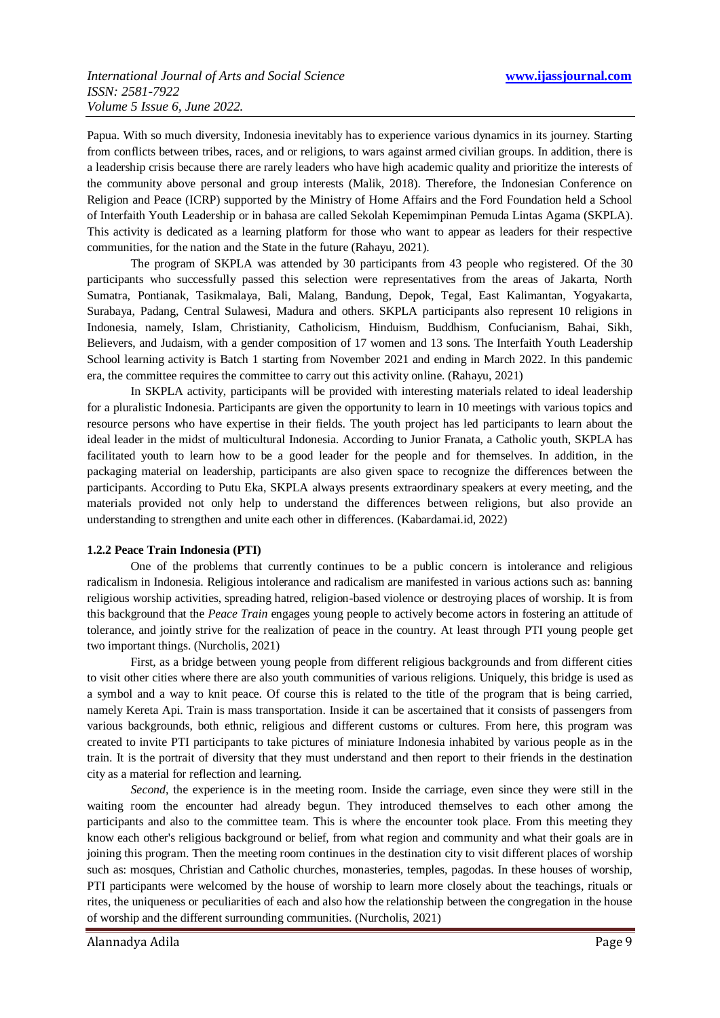Papua. With so much diversity, Indonesia inevitably has to experience various dynamics in its journey. Starting from conflicts between tribes, races, and or religions, to wars against armed civilian groups. In addition, there is a leadership crisis because there are rarely leaders who have high academic quality and prioritize the interests of the community above personal and group interests (Malik, 2018). Therefore, the Indonesian Conference on Religion and Peace (ICRP) supported by the Ministry of Home Affairs and the Ford Foundation held a School of Interfaith Youth Leadership or in bahasa are called Sekolah Kepemimpinan Pemuda Lintas Agama (SKPLA). This activity is dedicated as a learning platform for those who want to appear as leaders for their respective communities, for the nation and the State in the future (Rahayu, 2021).

The program of SKPLA was attended by 30 participants from 43 people who registered. Of the 30 participants who successfully passed this selection were representatives from the areas of Jakarta, North Sumatra, Pontianak, Tasikmalaya, Bali, Malang, Bandung, Depok, Tegal, East Kalimantan, Yogyakarta, Surabaya, Padang, Central Sulawesi, Madura and others. SKPLA participants also represent 10 religions in Indonesia, namely, Islam, Christianity, Catholicism, Hinduism, Buddhism, Confucianism, Bahai, Sikh, Believers, and Judaism, with a gender composition of 17 women and 13 sons. The Interfaith Youth Leadership School learning activity is Batch 1 starting from November 2021 and ending in March 2022. In this pandemic era, the committee requires the committee to carry out this activity online. (Rahayu, 2021)

In SKPLA activity, participants will be provided with interesting materials related to ideal leadership for a pluralistic Indonesia. Participants are given the opportunity to learn in 10 meetings with various topics and resource persons who have expertise in their fields. The youth project has led participants to learn about the ideal leader in the midst of multicultural Indonesia. According to Junior Franata, a Catholic youth, SKPLA has facilitated youth to learn how to be a good leader for the people and for themselves. In addition, in the packaging material on leadership, participants are also given space to recognize the differences between the participants. According to Putu Eka, SKPLA always presents extraordinary speakers at every meeting, and the materials provided not only help to understand the differences between religions, but also provide an understanding to strengthen and unite each other in differences. (Kabardamai.id, 2022)

### **1.2.2 Peace Train Indonesia (PTI)**

One of the problems that currently continues to be a public concern is intolerance and religious radicalism in Indonesia. Religious intolerance and radicalism are manifested in various actions such as: banning religious worship activities, spreading hatred, religion-based violence or destroying places of worship. It is from this background that the *Peace Train* engages young people to actively become actors in fostering an attitude of tolerance, and jointly strive for the realization of peace in the country. At least through PTI young people get two important things. (Nurcholis, 2021)

First, as a bridge between young people from different religious backgrounds and from different cities to visit other cities where there are also youth communities of various religions. Uniquely, this bridge is used as a symbol and a way to knit peace. Of course this is related to the title of the program that is being carried, namely Kereta Api. Train is mass transportation. Inside it can be ascertained that it consists of passengers from various backgrounds, both ethnic, religious and different customs or cultures. From here, this program was created to invite PTI participants to take pictures of miniature Indonesia inhabited by various people as in the train. It is the portrait of diversity that they must understand and then report to their friends in the destination city as a material for reflection and learning.

*Second*, the experience is in the meeting room. Inside the carriage, even since they were still in the waiting room the encounter had already begun. They introduced themselves to each other among the participants and also to the committee team. This is where the encounter took place. From this meeting they know each other's religious background or belief, from what region and community and what their goals are in joining this program. Then the meeting room continues in the destination city to visit different places of worship such as: mosques, Christian and Catholic churches, monasteries, temples, pagodas. In these houses of worship, PTI participants were welcomed by the house of worship to learn more closely about the teachings, rituals or rites, the uniqueness or peculiarities of each and also how the relationship between the congregation in the house of worship and the different surrounding communities. (Nurcholis, 2021)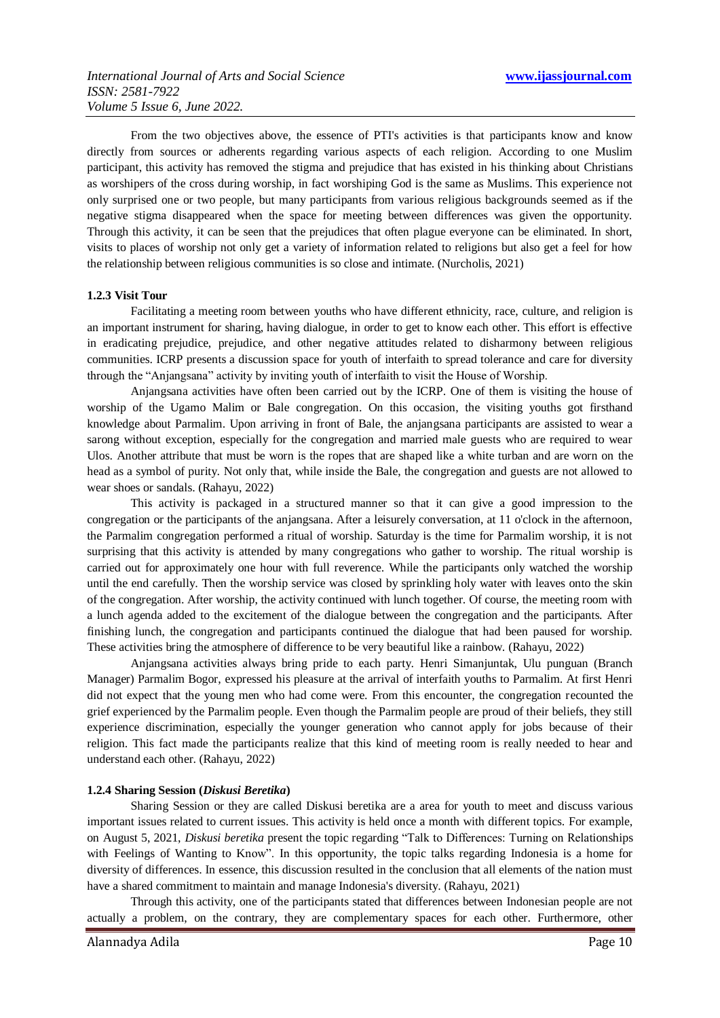From the two objectives above, the essence of PTI's activities is that participants know and know directly from sources or adherents regarding various aspects of each religion. According to one Muslim participant, this activity has removed the stigma and prejudice that has existed in his thinking about Christians as worshipers of the cross during worship, in fact worshiping God is the same as Muslims. This experience not only surprised one or two people, but many participants from various religious backgrounds seemed as if the negative stigma disappeared when the space for meeting between differences was given the opportunity. Through this activity, it can be seen that the prejudices that often plague everyone can be eliminated. In short, visits to places of worship not only get a variety of information related to religions but also get a feel for how the relationship between religious communities is so close and intimate. (Nurcholis, 2021)

#### **1.2.3 Visit Tour**

Facilitating a meeting room between youths who have different ethnicity, race, culture, and religion is an important instrument for sharing, having dialogue, in order to get to know each other. This effort is effective in eradicating prejudice, prejudice, and other negative attitudes related to disharmony between religious communities. ICRP presents a discussion space for youth of interfaith to spread tolerance and care for diversity through the "Anjangsana" activity by inviting youth of interfaith to visit the House of Worship.

Anjangsana activities have often been carried out by the ICRP. One of them is visiting the house of worship of the Ugamo Malim or Bale congregation. On this occasion, the visiting youths got firsthand knowledge about Parmalim. Upon arriving in front of Bale, the anjangsana participants are assisted to wear a sarong without exception, especially for the congregation and married male guests who are required to wear Ulos. Another attribute that must be worn is the ropes that are shaped like a white turban and are worn on the head as a symbol of purity. Not only that, while inside the Bale, the congregation and guests are not allowed to wear shoes or sandals. (Rahayu, 2022)

This activity is packaged in a structured manner so that it can give a good impression to the congregation or the participants of the anjangsana. After a leisurely conversation, at 11 o'clock in the afternoon, the Parmalim congregation performed a ritual of worship. Saturday is the time for Parmalim worship, it is not surprising that this activity is attended by many congregations who gather to worship. The ritual worship is carried out for approximately one hour with full reverence. While the participants only watched the worship until the end carefully. Then the worship service was closed by sprinkling holy water with leaves onto the skin of the congregation. After worship, the activity continued with lunch together. Of course, the meeting room with a lunch agenda added to the excitement of the dialogue between the congregation and the participants. After finishing lunch, the congregation and participants continued the dialogue that had been paused for worship. These activities bring the atmosphere of difference to be very beautiful like a rainbow. (Rahayu, 2022)

Anjangsana activities always bring pride to each party. Henri Simanjuntak, Ulu punguan (Branch Manager) Parmalim Bogor, expressed his pleasure at the arrival of interfaith youths to Parmalim. At first Henri did not expect that the young men who had come were. From this encounter, the congregation recounted the grief experienced by the Parmalim people. Even though the Parmalim people are proud of their beliefs, they still experience discrimination, especially the younger generation who cannot apply for jobs because of their religion. This fact made the participants realize that this kind of meeting room is really needed to hear and understand each other. (Rahayu, 2022)

#### **1.2.4 Sharing Session (***Diskusi Beretika***)**

Sharing Session or they are called Diskusi beretika are a area for youth to meet and discuss various important issues related to current issues. This activity is held once a month with different topics. For example, on August 5, 2021, *Diskusi beretika* present the topic regarding "Talk to Differences: Turning on Relationships with Feelings of Wanting to Know". In this opportunity, the topic talks regarding Indonesia is a home for diversity of differences. In essence, this discussion resulted in the conclusion that all elements of the nation must have a shared commitment to maintain and manage Indonesia's diversity. (Rahayu, 2021)

Through this activity, one of the participants stated that differences between Indonesian people are not actually a problem, on the contrary, they are complementary spaces for each other. Furthermore, other